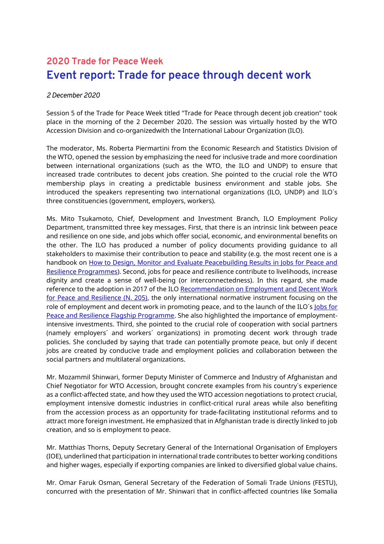## **2020 Trade for Peace Week Event report: Trade for peace through decent work**

## *2 December 2020*

Session 5 of the Trade for Peace Week titled "Trade for Peace through decent job creation" took place in the morning of the 2 December 2020. The session was virtually hosted by the WTO Accession Division and co-organizedwith the International Labour Organization (ILO).

The moderator, Ms. Roberta Piermartini from the Economic Research and Statistics Division of the WTO, opened the session by emphasizing the need for inclusive trade and more coordination between international organizations (such as the WTO, the ILO and UNDP) to ensure that increased trade contributes to decent jobs creation. She pointed to the crucial role the WTO membership plays in creating a predictable business environment and stable jobs. She introduced the speakers representing two international organizations (ILO, UNDP) and ILO´s three constituencies (government, employers, workers).

Ms. Mito Tsukamoto, Chief, Development and Investment Branch, ILO Employment Policy Department, transmitted three key messages. First, that there is an intrinsic link between peace and resilience on one side, and jobs which offer social, economic, and environmental benefits on the other. The ILO has produced a number of policy documents providing guidance to all stakeholders to maximise their contribution to peace and stability (e.g. the most recent one is a handbook on [How to Design, Monitor and Evaluate Peacebuilding Results in Jobs for Peace and](https://www.ilo.org/employment/Whatwedo/Instructionmaterials/WCMS_712211/lang--en/index.htm)  [Resilience Programmes\)](https://www.ilo.org/employment/Whatwedo/Instructionmaterials/WCMS_712211/lang--en/index.htm). Second, jobs for peace and resilience contribute to livelihoods, increase dignity and create a sense of well-being (or interconnectedness). In this regard, she made reference to the adoption in 2017 of the ILO Recommendation on Employment and Decent Work [for Peace and Resilience \(N. 205\),](https://www.ilo.org/global/topics/employment-promotion/recovery-and-reconstruction/r205/WCMS_648752/lang--en/index.htm) the only international normative instrument focusing on the role of employment and decent work in promoting peace, and to the launch of the ILO's lobs for Peace and [Resilience Flagship Programme.](https://www.ilo.org/global/about-the-ilo/how-the-ilo-works/WCMS_495276/lang--en/index.htm) She also highlighted the importance of employmentintensive investments. Third, she pointed to the crucial role of cooperation with social partners (namely employers´ and workers´ organizations) in promoting decent work through trade policies. She concluded by saying that trade can potentially promote peace, but only if decent jobs are created by conducive trade and employment policies and collaboration between the social partners and multilateral organizations.

Mr. Mozammil Shinwari, former Deputy Minister of Commerce and Industry of Afghanistan and Chief Negotiator for WTO Accession, brought concrete examples from his country´s experience as a conflict-affected state, and how they used the WTO accession negotiations to protect crucial, employment intensive domestic industries in conflict-critical rural areas while also benefiting from the accession process as an opportunity for trade-facilitating institutional reforms and to attract more foreign investment. He emphasized that in Afghanistan trade is directly linked to job creation, and so is employment to peace.

Mr. Matthias Thorns, Deputy Secretary General of the International Organisation of Employers (IOE), underlined that participation in international trade contributes to better working conditions and higher wages, especially if exporting companies are linked to diversified global value chains.

Mr. Omar Faruk Osman, General Secretary of the Federation of Somali Trade Unions (FESTU), concurred with the presentation of Mr. Shinwari that in conflict-affected countries like Somalia